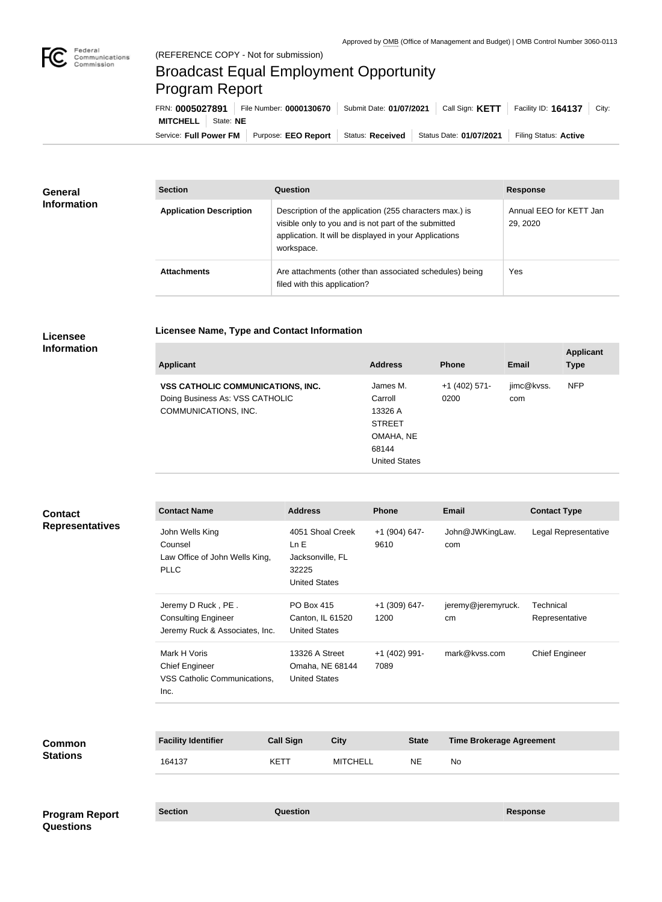

## Broadcast Equal Employment Opportunity Program Report

**Licensee Name, Type and Contact Information**

Service: Full Power FM Purpose: EEO Report | Status: Received | Status Date: 01/07/2021 | Filing Status: Active **MITCHELL** State: **NE** FRN: **0005027891** File Number: **0000130670** Submit Date: **01/07/2021** Call Sign: **KETT** Facility ID: **164137** City:

| General<br><b>Information</b> | <b>Section</b>                 | <b>Question</b>                                                                                                                                                                         | <b>Response</b>                     |  |
|-------------------------------|--------------------------------|-----------------------------------------------------------------------------------------------------------------------------------------------------------------------------------------|-------------------------------------|--|
|                               | <b>Application Description</b> | Description of the application (255 characters max.) is<br>visible only to you and is not part of the submitted<br>application. It will be displayed in your Applications<br>workspace. | Annual EEO for KETT Jan<br>29, 2020 |  |
|                               | <b>Attachments</b>             | Are attachments (other than associated schedules) being<br>filed with this application?                                                                                                 | Yes                                 |  |

## **Licensee Information**

| <b>Applicant</b>                                                                                    | <b>Address</b>                                                                                | <b>Phone</b>            | <b>Email</b>      | <b>Applicant</b><br><b>Type</b> |
|-----------------------------------------------------------------------------------------------------|-----------------------------------------------------------------------------------------------|-------------------------|-------------------|---------------------------------|
| <b>VSS CATHOLIC COMMUNICATIONS, INC.</b><br>Doing Business As: VSS CATHOLIC<br>COMMUNICATIONS, INC. | James M.<br>Carroll<br>13326 A<br><b>STREET</b><br>OMAHA, NE<br>68144<br><b>United States</b> | $+1$ (402) 571-<br>0200 | jimc@kvss.<br>com | <b>NFP</b>                      |
|                                                                                                     |                                                                                               |                         |                   |                                 |

| <b>Contact</b><br><b>Representatives</b>  | <b>Contact Name</b>                                                                |                                | <b>Address</b>                         |                                                                               | Phone                   |               | <b>Email</b>                    | <b>Contact Type</b>         |
|-------------------------------------------|------------------------------------------------------------------------------------|--------------------------------|----------------------------------------|-------------------------------------------------------------------------------|-------------------------|---------------|---------------------------------|-----------------------------|
|                                           | John Wells King<br>Counsel<br><b>PLLC</b>                                          | Law Office of John Wells King, |                                        | 4051 Shoal Creek<br>Ln E<br>Jacksonville, FL<br>32225<br><b>United States</b> |                         | +1 (904) 647- | John@JWKingLaw.<br>com          | Legal Representative        |
|                                           | Jeremy D Ruck, PE.<br><b>Consulting Engineer</b><br>Jeremy Ruck & Associates, Inc. |                                | PO Box 415<br><b>United States</b>     | Canton, IL 61520                                                              | +1 (309) 647-<br>1200   |               | jeremy@jeremyruck.<br>cm        | Technical<br>Representative |
|                                           | Mark H Voris<br><b>Chief Engineer</b><br>VSS Catholic Communications,<br>Inc.      |                                | 13326 A Street<br><b>United States</b> | Omaha, NE 68144                                                               | $+1$ (402) 991-<br>7089 |               | mark@kvss.com                   | <b>Chief Engineer</b>       |
| <b>Common</b>                             | <b>Facility Identifier</b>                                                         |                                | <b>Call Sign</b>                       | <b>City</b>                                                                   |                         | <b>State</b>  | <b>Time Brokerage Agreement</b> |                             |
| <b>Stations</b>                           | 164137                                                                             | <b>KETT</b>                    |                                        | <b>MITCHELL</b>                                                               |                         | <b>NE</b>     | <b>No</b>                       |                             |
| <b>Program Report</b><br><b>Questions</b> | <b>Section</b>                                                                     |                                | Question                               |                                                                               |                         |               |                                 | <b>Response</b>             |